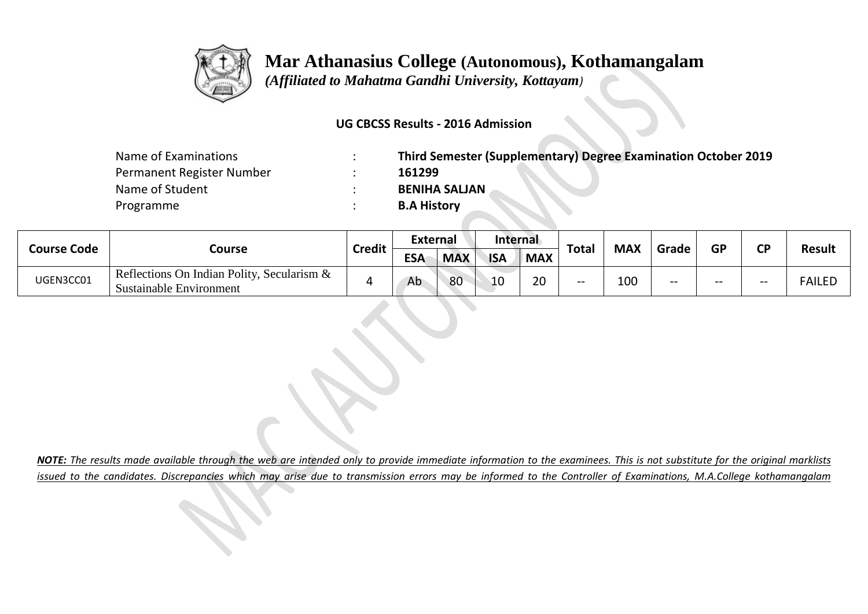

 *(Affiliated to Mahatma Gandhi University, Kottayam)*

#### **UG CBCSS Results - 2016 Admission**

| Name of Examinations      | Third Semester (Supplementary) Degree Examination October 2019 |
|---------------------------|----------------------------------------------------------------|
| Permanent Register Number | 161299                                                         |
| Name of Student           | <b>BENIHA SALJAN</b>                                           |
| Programme                 | <b>B.A History</b>                                             |

| <b>Course Code</b> |                                                                          |               | External   |            | <b>Internal</b> |                    |              |            | GP<br>Grade |  | СD |               |
|--------------------|--------------------------------------------------------------------------|---------------|------------|------------|-----------------|--------------------|--------------|------------|-------------|--|----|---------------|
|                    | Course                                                                   | <b>Credit</b> | <b>ESA</b> | <b>MAX</b> | <b>ISA</b>      | <b>MAX</b>         | <b>Total</b> | <b>MAX</b> |             |  |    | <b>Result</b> |
| UGEN3CC01          | Reflections On Indian Polity, Secularism $\&$<br>Sustainable Environment |               | Ab         | 80         | 10              | $\mathsf{a}$<br>zu | $- -$        | 100        | --          |  | -- | <b>FAILED</b> |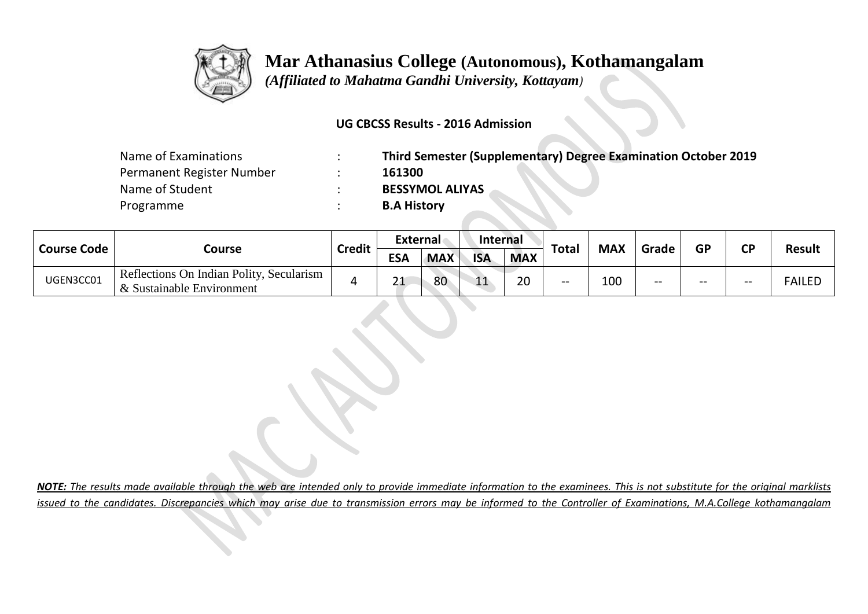

 *(Affiliated to Mahatma Gandhi University, Kottayam)*

#### **UG CBCSS Results - 2016 Admission**

| Name of Examinations      | Third Semester (Supplementary) Degree Examination October 2019 |
|---------------------------|----------------------------------------------------------------|
| Permanent Register Number | 161300                                                         |
| Name of Student           | <b>BESSYMOL ALIYAS</b>                                         |
| Programme                 | <b>B.A History</b>                                             |

|                    |                                                                       |               | External   |            | <b>Internal</b> |            |              |            |       |                        |       |               |
|--------------------|-----------------------------------------------------------------------|---------------|------------|------------|-----------------|------------|--------------|------------|-------|------------------------|-------|---------------|
| <b>Course Code</b> | Course                                                                | <b>Credit</b> | <b>ESA</b> | <b>MAX</b> | <b>ISA</b>      | <b>MAX</b> | <b>Total</b> | <b>MAX</b> | Grade | <b>GP</b><br><b>CP</b> |       | <b>Result</b> |
| UGEN3CC01          | Reflections On Indian Polity, Secularism<br>& Sustainable Environment |               | ີ 1<br>ᅀ   | 80         | 11<br>ᆠᅶ        | 20         | $- -$        | 100        | $- -$ | --                     | $- -$ | <b>FAILED</b> |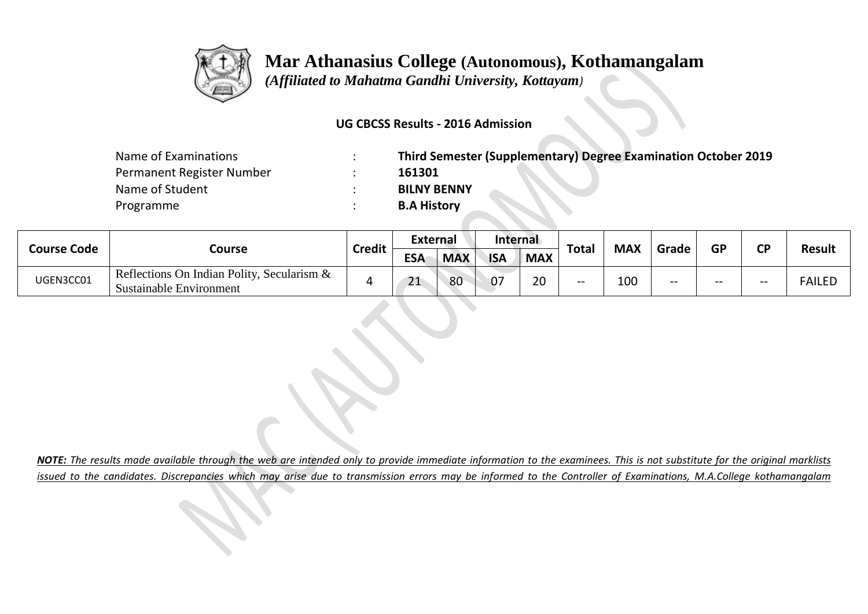

 *(Affiliated to Mahatma Gandhi University, Kottayam)*

#### **UG CBCSS Results - 2016 Admission**

| Name of Examinations      | Third Semester (Supplementary) Degree Examination October 2019 |
|---------------------------|----------------------------------------------------------------|
| Permanent Register Number | 161301                                                         |
| Name of Student           | <b>BILNY BENNY</b>                                             |
| Programme                 | <b>B.A History</b>                                             |

| <b>Course Code</b> |                                                                       | <b>External</b> |            | Internal   |            |            |              |            |       | <b>CD</b> |       |               |
|--------------------|-----------------------------------------------------------------------|-----------------|------------|------------|------------|------------|--------------|------------|-------|-----------|-------|---------------|
|                    | Course                                                                | <b>Credit</b>   | <b>ESA</b> | <b>MAX</b> | <b>ISA</b> | <b>MAX</b> | <b>Total</b> | <b>MAX</b> | Grade | <b>GP</b> |       | <b>Result</b> |
| UGEN3CC01          | Reflections On Indian Polity, Secularism &<br>Sustainable Environment |                 | 21<br>ᇫᆚ   | 80         | ብ7         | 20         | --           | 100        | $- -$ | --        | $- -$ | <b>FAILED</b> |